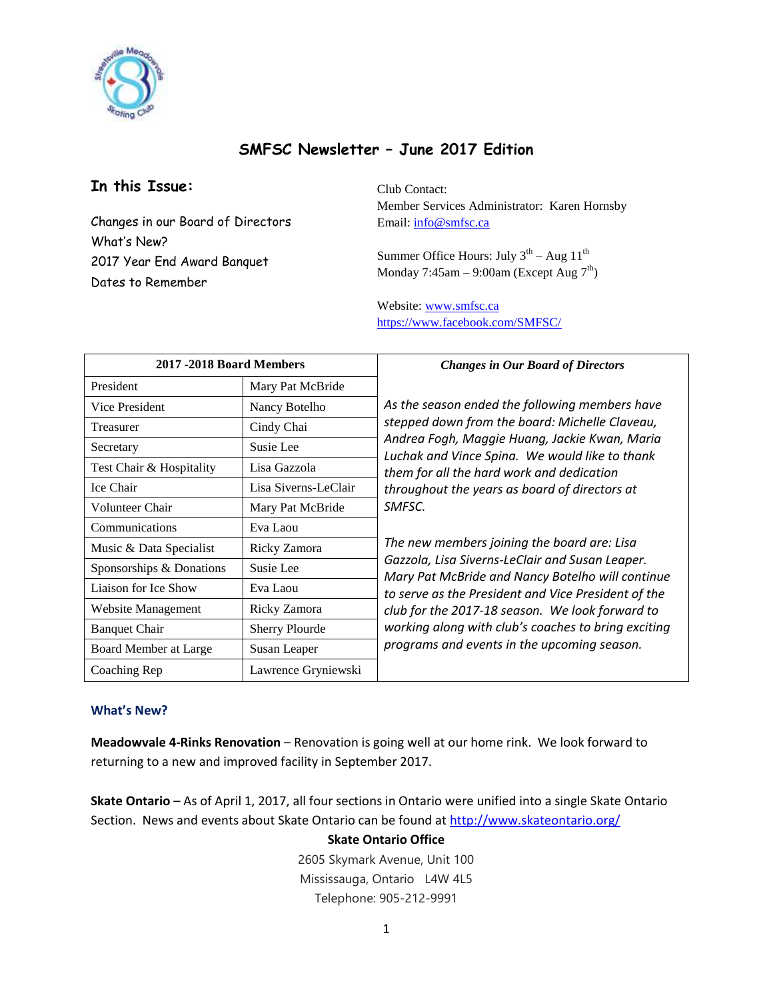

# **SMFSC Newsletter – June 2017 Edition**

# **In this Issue:**

Changes in our Board of Directors What's New? 2017 Year End Award Banquet Dates to Remember

Club Contact: Member Services Administrator: Karen Hornsby Email: [info@smfsc.ca](mailto:info@smfsc.ca)

Summer Office Hours: July  $3<sup>th</sup> - Aug 11<sup>th</sup>$ Monday 7:45am – 9:00am (Except Aug  $7<sup>th</sup>$ )

Website[: www.smfsc.ca](http://www.smfsc.ca/) <https://www.facebook.com/SMFSC/>

| 2017 -2018 Board Members |                       | <b>Changes in Our Board of Directors</b>                                                                                                                                                                                                                                                                                                                                                                                                                                                                                                                                                                                                                                          |
|--------------------------|-----------------------|-----------------------------------------------------------------------------------------------------------------------------------------------------------------------------------------------------------------------------------------------------------------------------------------------------------------------------------------------------------------------------------------------------------------------------------------------------------------------------------------------------------------------------------------------------------------------------------------------------------------------------------------------------------------------------------|
| President                | Mary Pat McBride      | As the season ended the following members have<br>stepped down from the board: Michelle Claveau,<br>Andrea Fogh, Maggie Huang, Jackie Kwan, Maria<br>Luchak and Vince Spina. We would like to thank<br>them for all the hard work and dedication<br>throughout the years as board of directors at<br>SMFSC.<br>The new members joining the board are: Lisa<br>Gazzola, Lisa Siverns-LeClair and Susan Leaper.<br>Mary Pat McBride and Nancy Botelho will continue<br>to serve as the President and Vice President of the<br>club for the 2017-18 season. We look forward to<br>working along with club's coaches to bring exciting<br>programs and events in the upcoming season. |
| Vice President           | Nancy Botelho         |                                                                                                                                                                                                                                                                                                                                                                                                                                                                                                                                                                                                                                                                                   |
| Treasurer                | Cindy Chai            |                                                                                                                                                                                                                                                                                                                                                                                                                                                                                                                                                                                                                                                                                   |
| Secretary                | Susie Lee             |                                                                                                                                                                                                                                                                                                                                                                                                                                                                                                                                                                                                                                                                                   |
| Test Chair & Hospitality | Lisa Gazzola          |                                                                                                                                                                                                                                                                                                                                                                                                                                                                                                                                                                                                                                                                                   |
| Ice Chair                | Lisa Siverns-LeClair  |                                                                                                                                                                                                                                                                                                                                                                                                                                                                                                                                                                                                                                                                                   |
| Volunteer Chair          | Mary Pat McBride      |                                                                                                                                                                                                                                                                                                                                                                                                                                                                                                                                                                                                                                                                                   |
| Communications           | Eva Laou              |                                                                                                                                                                                                                                                                                                                                                                                                                                                                                                                                                                                                                                                                                   |
| Music & Data Specialist  | Ricky Zamora          |                                                                                                                                                                                                                                                                                                                                                                                                                                                                                                                                                                                                                                                                                   |
| Sponsorships & Donations | Susie Lee             |                                                                                                                                                                                                                                                                                                                                                                                                                                                                                                                                                                                                                                                                                   |
| Liaison for Ice Show     | Eva Laou              |                                                                                                                                                                                                                                                                                                                                                                                                                                                                                                                                                                                                                                                                                   |
| Website Management       | Ricky Zamora          |                                                                                                                                                                                                                                                                                                                                                                                                                                                                                                                                                                                                                                                                                   |
| <b>Banquet Chair</b>     | <b>Sherry Plourde</b> |                                                                                                                                                                                                                                                                                                                                                                                                                                                                                                                                                                                                                                                                                   |
| Board Member at Large    | Susan Leaper          |                                                                                                                                                                                                                                                                                                                                                                                                                                                                                                                                                                                                                                                                                   |
| Coaching Rep             | Lawrence Gryniewski   |                                                                                                                                                                                                                                                                                                                                                                                                                                                                                                                                                                                                                                                                                   |

### **What's New?**

**Meadowvale 4-Rinks Renovation** – Renovation is going well at our home rink. We look forward to returning to a new and improved facility in September 2017.

**Skate Ontario** – As of April 1, 2017, all four sections in Ontario were unified into a single Skate Ontario Section. News and events about Skate Ontario can be found at<http://www.skateontario.org/>

## **Skate Ontario Office**

2605 Skymark Avenue, Unit 100 Mississauga, Ontario L4W 4L5 Telephone: 905-212-9991